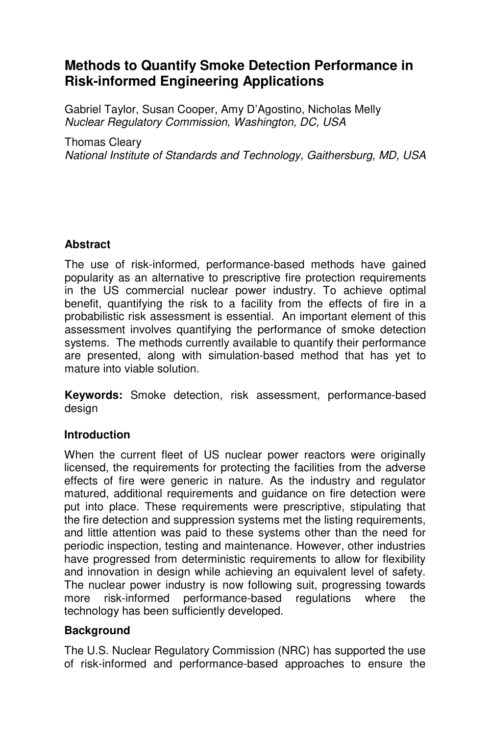# **Methods to Quantify Smoke Detection Performance in Risk-informed Engineering Applications**

Gabriel Taylor, Susan Cooper, Amy D'Agostino, Nicholas Melly Nuclear Regulatory Commission, Washington, DC, USA

Thomas Cleary

National Institute of Standards and Technology, Gaithersburg, MD, USA

# **Abstract**

The use of risk-informed, performance-based methods have gained popularity as an alternative to prescriptive fire protection requirements in the US commercial nuclear power industry. To achieve optimal benefit, quantifying the risk to a facility from the effects of fire in a probabilistic risk assessment is essential. An important element of this assessment involves quantifying the performance of smoke detection systems. The methods currently available to quantify their performance are presented, along with simulation-based method that has yet to mature into viable solution.

**Keywords:** Smoke detection, risk assessment, performance-based design

### **Introduction**

When the current fleet of US nuclear power reactors were originally licensed, the requirements for protecting the facilities from the adverse effects of fire were generic in nature. As the industry and regulator matured, additional requirements and guidance on fire detection were put into place. These requirements were prescriptive, stipulating that the fire detection and suppression systems met the listing requirements, and little attention was paid to these systems other than the need for periodic inspection, testing and maintenance. However, other industries have progressed from deterministic requirements to allow for flexibility and innovation in design while achieving an equivalent level of safety. The nuclear power industry is now following suit, progressing towards more risk-informed performance-based regulations where the technology has been sufficiently developed.

### **Background**

The U.S. Nuclear Regulatory Commission (NRC) has supported the use of risk-informed and performance-based approaches to ensure the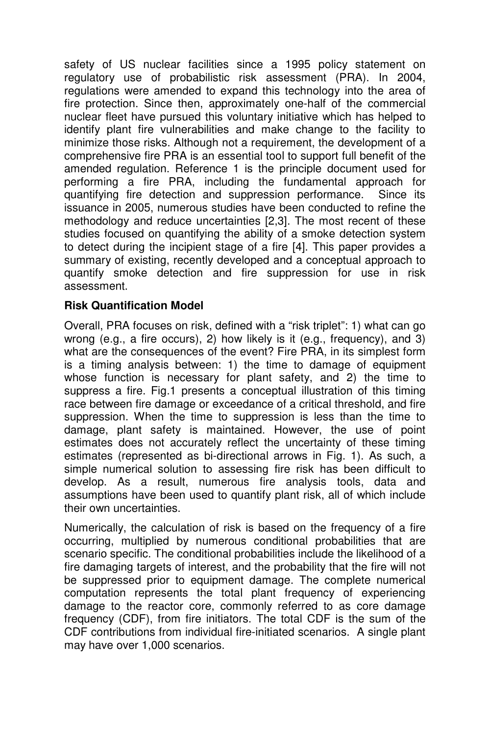safety of US nuclear facilities since a 1995 policy statement on regulatory use of probabilistic risk assessment (PRA). In 2004, regulations were amended to expand this technology into the area of fire protection. Since then, approximately one-half of the commercial nuclear fleet have pursued this voluntary initiative which has helped to identify plant fire vulnerabilities and make change to the facility to minimize those risks. Although not a requirement, the development of a comprehensive fire PRA is an essential tool to support full benefit of the amended regulation. Reference 1 is the principle document used for performing a fire PRA, including the fundamental approach for quantifying fire detection and suppression performance. Since its issuance in 2005, numerous studies have been conducted to refine the methodology and reduce uncertainties [2,3]. The most recent of these studies focused on quantifying the ability of a smoke detection system to detect during the incipient stage of a fire [4]. This paper provides a summary of existing, recently developed and a conceptual approach to quantify smoke detection and fire suppression for use in risk assessment.

### **Risk Quantification Model**

Overall, PRA focuses on risk, defined with a "risk triplet": 1) what can go wrong (e.g., a fire occurs), 2) how likely is it (e.g., frequency), and 3) what are the consequences of the event? Fire PRA, in its simplest form is a timing analysis between: 1) the time to damage of equipment whose function is necessary for plant safety, and 2) the time to suppress a fire. Fig.1 presents a conceptual illustration of this timing race between fire damage or exceedance of a critical threshold, and fire suppression. When the time to suppression is less than the time to damage, plant safety is maintained. However, the use of point estimates does not accurately reflect the uncertainty of these timing estimates (represented as bi-directional arrows in Fig. 1). As such, a simple numerical solution to assessing fire risk has been difficult to develop. As a result, numerous fire analysis tools, data and assumptions have been used to quantify plant risk, all of which include their own uncertainties.

Numerically, the calculation of risk is based on the frequency of a fire occurring, multiplied by numerous conditional probabilities that are scenario specific. The conditional probabilities include the likelihood of a fire damaging targets of interest, and the probability that the fire will not be suppressed prior to equipment damage. The complete numerical computation represents the total plant frequency of experiencing damage to the reactor core, commonly referred to as core damage frequency (CDF), from fire initiators. The total CDF is the sum of the CDF contributions from individual fire-initiated scenarios. A single plant may have over 1,000 scenarios.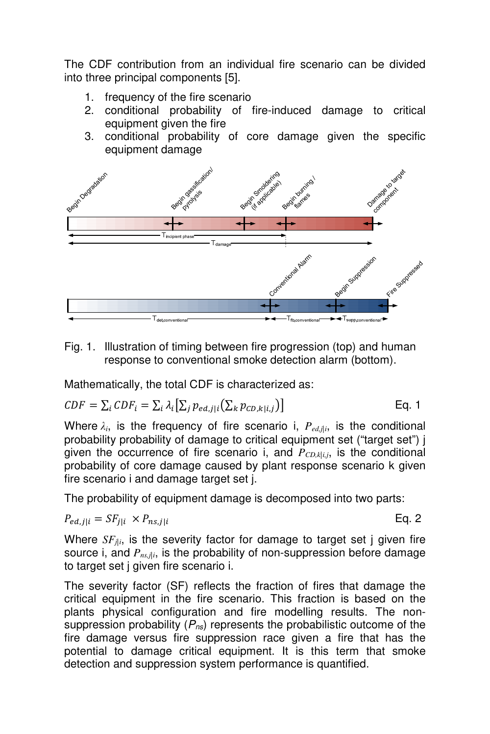The CDF contribution from an individual fire scenario can be divided into three principal components [5].

- 1. frequency of the fire scenario
- 2. conditional probability of fire-induced damage to critical equipment given the fire
- 3. conditional probability of core damage given the specific equipment damage



Fig. 1. Illustration of timing between fire progression (top) and human response to conventional smoke detection alarm (bottom).

Mathematically, the total CDF is characterized as:

$$
CDF = \sum_{i} CDF_i = \sum_{i} \lambda_i \big[ \sum_{j} p_{ed,j|i} \big( \sum_{k} p_{CD,k|i,j} \big) \big]
$$
 Eq. 1

Where  $\lambda_i$ , is the frequency of fire scenario i,  $P_{ed,ji}$ , is the conditional probability probability of damage to critical equipment set ("target set") j given the occurrence of fire scenario i, and  $P_{CD, k|i,i}$ , is the conditional probability of core damage caused by plant response scenario k given fire scenario i and damage target set j.

The probability of equipment damage is decomposed into two parts:

$$
P_{ed,j|i} = SF_{j|i} \times P_{ns,j|i}
$$
 Eq. 2

Where  $SF_{\text{di}}$ , is the severity factor for damage to target set *j* given fire source i, and  $P_{ns,ji}$ , is the probability of non-suppression before damage to target set j given fire scenario i.

The severity factor (SF) reflects the fraction of fires that damage the critical equipment in the fire scenario. This fraction is based on the plants physical configuration and fire modelling results. The nonsuppression probability  $(P_{ns})$  represents the probabilistic outcome of the fire damage versus fire suppression race given a fire that has the potential to damage critical equipment. It is this term that smoke detection and suppression system performance is quantified.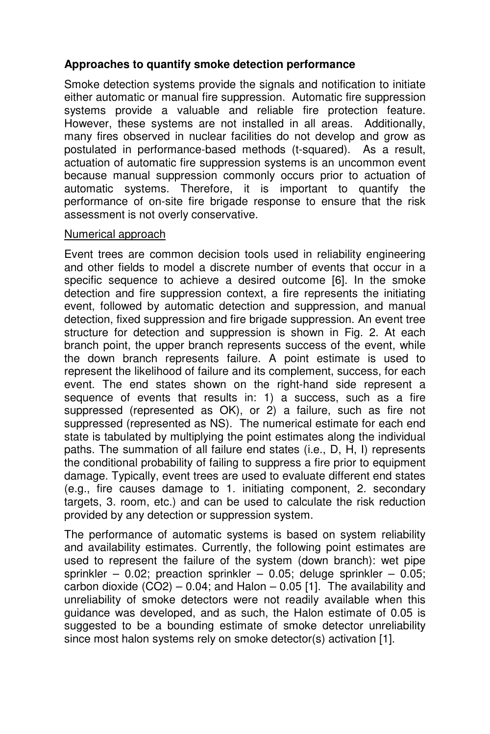### **Approaches to quantify smoke detection performance**

Smoke detection systems provide the signals and notification to initiate either automatic or manual fire suppression. Automatic fire suppression systems provide a valuable and reliable fire protection feature. However, these systems are not installed in all areas. Additionally, many fires observed in nuclear facilities do not develop and grow as postulated in performance-based methods (t-squared). As a result, actuation of automatic fire suppression systems is an uncommon event because manual suppression commonly occurs prior to actuation of automatic systems. Therefore, it is important to quantify the performance of on-site fire brigade response to ensure that the risk assessment is not overly conservative.

#### Numerical approach

Event trees are common decision tools used in reliability engineering and other fields to model a discrete number of events that occur in a specific sequence to achieve a desired outcome [6]. In the smoke detection and fire suppression context, a fire represents the initiating event, followed by automatic detection and suppression, and manual detection, fixed suppression and fire brigade suppression. An event tree structure for detection and suppression is shown in Fig. 2. At each branch point, the upper branch represents success of the event, while the down branch represents failure. A point estimate is used to represent the likelihood of failure and its complement, success, for each event. The end states shown on the right-hand side represent a sequence of events that results in: 1) a success, such as a fire suppressed (represented as OK), or 2) a failure, such as fire not suppressed (represented as NS). The numerical estimate for each end state is tabulated by multiplying the point estimates along the individual paths. The summation of all failure end states (i.e., D, H, I) represents the conditional probability of failing to suppress a fire prior to equipment damage. Typically, event trees are used to evaluate different end states (e.g., fire causes damage to 1. initiating component, 2. secondary targets, 3. room, etc.) and can be used to calculate the risk reduction provided by any detection or suppression system.

The performance of automatic systems is based on system reliability and availability estimates. Currently, the following point estimates are used to represent the failure of the system (down branch): wet pipe sprinkler – 0.02; preaction sprinkler – 0.05; deluge sprinkler – 0.05; carbon dioxide  $(CO2) - 0.04$ ; and Halon  $- 0.05$  [1]. The availability and unreliability of smoke detectors were not readily available when this guidance was developed, and as such, the Halon estimate of 0.05 is suggested to be a bounding estimate of smoke detector unreliability since most halon systems rely on smoke detector(s) activation [1].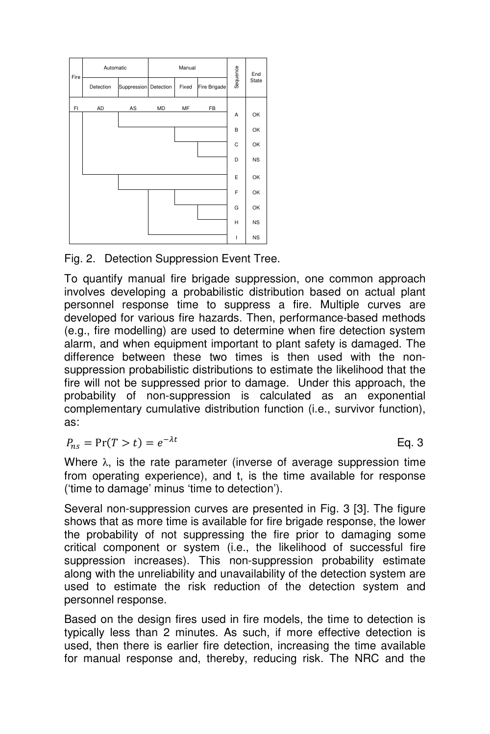

Fig. 2. Detection Suppression Event Tree.

To quantify manual fire brigade suppression, one common approach involves developing a probabilistic distribution based on actual plant personnel response time to suppress a fire. Multiple curves are developed for various fire hazards. Then, performance-based methods (e.g., fire modelling) are used to determine when fire detection system alarm, and when equipment important to plant safety is damaged. The difference between these two times is then used with the nonsuppression probabilistic distributions to estimate the likelihood that the fire will not be suppressed prior to damage. Under this approach, the probability of non-suppression is calculated as an exponential complementary cumulative distribution function (i.e., survivor function), as:

 $P_{ns} = Pr(T > t) = e^{-\lambda t}$  Eq. 3

Where  $\lambda$ , is the rate parameter (inverse of average suppression time from operating experience), and t, is the time available for response ('time to damage' minus 'time to detection').

Several non-suppression curves are presented in Fig. 3 [3]. The figure shows that as more time is available for fire brigade response, the lower the probability of not suppressing the fire prior to damaging some critical component or system (i.e., the likelihood of successful fire suppression increases). This non-suppression probability estimate along with the unreliability and unavailability of the detection system are used to estimate the risk reduction of the detection system and personnel response.

Based on the design fires used in fire models, the time to detection is typically less than 2 minutes. As such, if more effective detection is used, then there is earlier fire detection, increasing the time available for manual response and, thereby, reducing risk. The NRC and the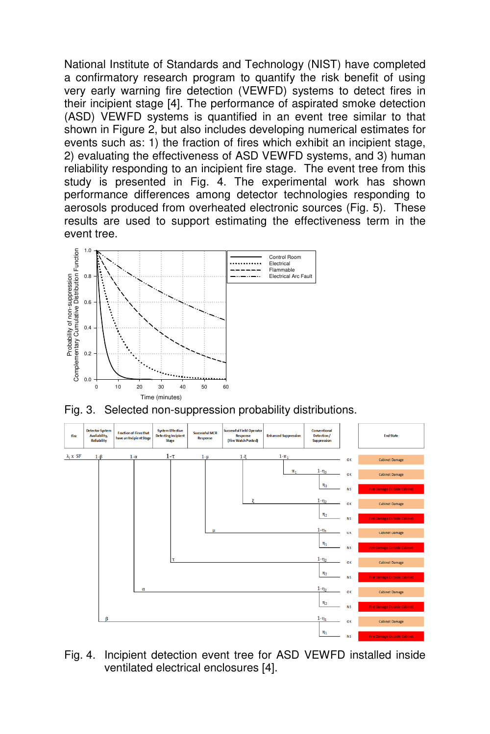National Institute of Standards and Technology (NIST) have completed a confirmatory research program to quantify the risk benefit of using very early warning fire detection (VEWFD) systems to detect fires in their incipient stage [4]. The performance of aspirated smoke detection (ASD) VEWFD systems is quantified in an event tree similar to that shown in Figure 2, but also includes developing numerical estimates for events such as: 1) the fraction of fires which exhibit an incipient stage, 2) evaluating the effectiveness of ASD VEWFD systems, and 3) human reliability responding to an incipient fire stage. The event tree from this study is presented in Fig. 4. The experimental work has shown performance differences among detector technologies responding to aerosols produced from overheated electronic sources (Fig. 5). These results are used to support estimating the effectiveness term in the event tree.



Fig. 3. Selected non-suppression probability distributions.



Fig. 4. Incipient detection event tree for ASD VEWFD installed inside ventilated electrical enclosures [4].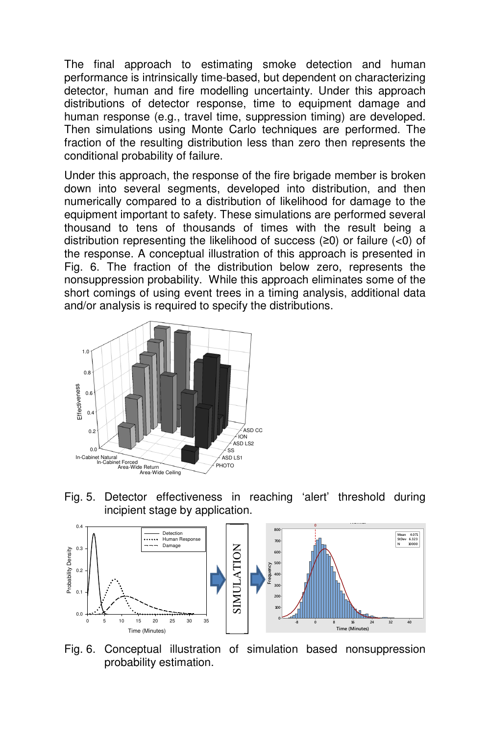The final approach to estimating smoke detection and human performance is intrinsically time-based, but dependent on characterizing detector, human and fire modelling uncertainty. Under this approach distributions of detector response, time to equipment damage and human response (e.g., travel time, suppression timing) are developed. Then simulations using Monte Carlo techniques are performed. The fraction of the resulting distribution less than zero then represents the conditional probability of failure.

Under this approach, the response of the fire brigade member is broken down into several segments, developed into distribution, and then numerically compared to a distribution of likelihood for damage to the equipment important to safety. These simulations are performed several thousand to tens of thousands of times with the result being a distribution representing the likelihood of success (≥0) or failure (<0) of the response. A conceptual illustration of this approach is presented in Fig. 6. The fraction of the distribution below zero, represents the nonsuppression probability. While this approach eliminates some of the short comings of using event trees in a timing analysis, additional data and/or analysis is required to specify the distributions.



Fig. 5. Detector effectiveness in reaching 'alert' threshold during incipient stage by application.



Fig. 6. Conceptual illustration of simulation based nonsuppression probability estimation.